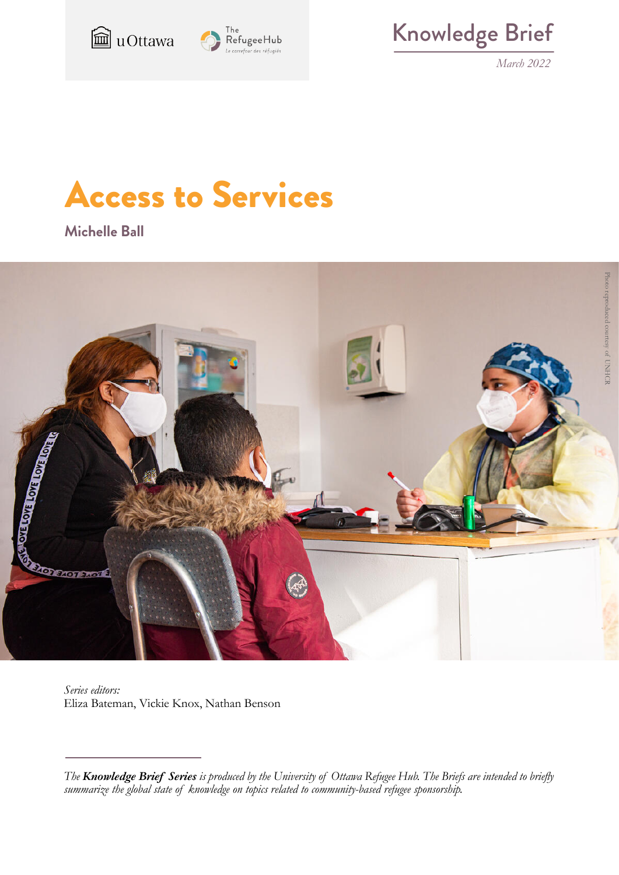



Knowledge Brief

*March 2022*

# Access to Services

**Michelle Ball**



*Series editors:* Eliza Bateman, Vickie Knox, Nathan Benson

*The Knowledge Brief Series is produced by the University of Ottawa Refugee Hub. The Briefs are intended to briefly summarize the global state of knowledge on topics related to community-based refugee sponsorship.*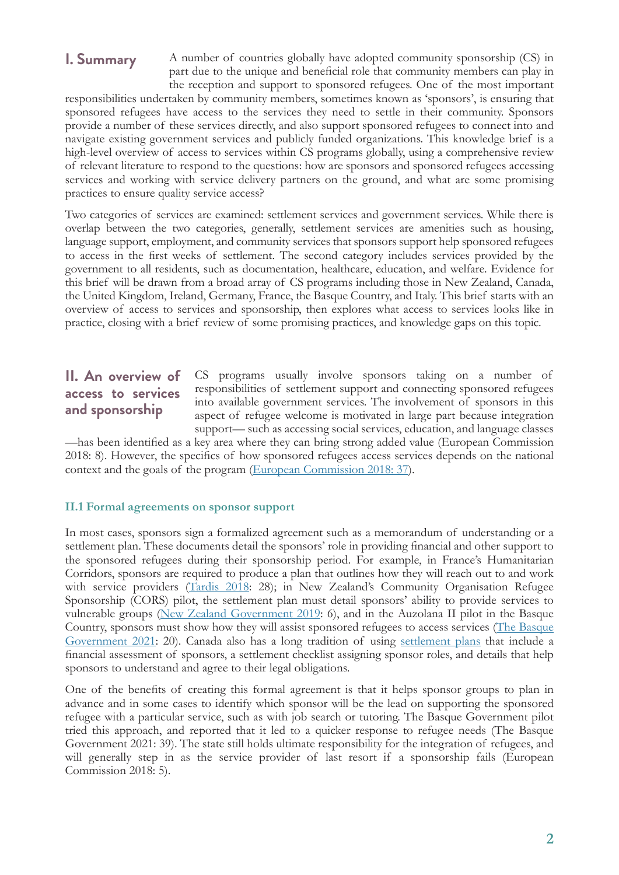# **I. Summary**

A number of countries globally have adopted community sponsorship (CS) in part due to the unique and beneficial role that community members can play in the reception and support to sponsored refugees. One of the most important

responsibilities undertaken by community members, sometimes known as 'sponsors', is ensuring that sponsored refugees have access to the services they need to settle in their community. Sponsors provide a number of these services directly, and also support sponsored refugees to connect into and navigate existing government services and publicly funded organizations. This knowledge brief is a high-level overview of access to services within CS programs globally, using a comprehensive review of relevant literature to respond to the questions: how are sponsors and sponsored refugees accessing services and working with service delivery partners on the ground, and what are some promising practices to ensure quality service access?

Two categories of services are examined: settlement services and government services. While there is overlap between the two categories, generally, settlement services are amenities such as housing, language support, employment, and community services that sponsors support help sponsored refugees to access in the first weeks of settlement. The second category includes services provided by the government to all residents, such as documentation, healthcare, education, and welfare. Evidence for this brief will be drawn from a broad array of CS programs including those in New Zealand, Canada, the United Kingdom, Ireland, Germany, France, the Basque Country, and Italy. This brief starts with an overview of access to services and sponsorship, then explores what access to services looks like in practice, closing with a brief review of some promising practices, and knowledge gaps on this topic.

# **II. An overview of access to services and sponsorship**

CS programs usually involve sponsors taking on a number of responsibilities of settlement support and connecting sponsored refugees into available government services. The involvement of sponsors in this aspect of refugee welcome is motivated in large part because integration support— such as accessing social services, education, and language classes

—has been identified as a key area where they can bring strong added value (European Commission 2018: 8). However, the specifics of how sponsored refugees access services depends on the national context and the goals of the program [\(European Commission 2018: 37\)](http://www.europeanmigrationlaw.eu/documents/Sponsorship-schemes.pdf).

## **II.1 Formal agreements on sponsor support**

In most cases, sponsors sign a formalized agreement such as a memorandum of understanding or a settlement plan. These documents detail the sponsors' role in providing financial and other support to the sponsored refugees during their sponsorship period. For example, in France's Humanitarian Corridors, sponsors are required to produce a plan that outlines how they will reach out to and work with service providers([Tardis 2018:](http://www.resettlement.eu/sites/icmc/files/ERN%2B%20Private%20Sponsorship%20Feasibility%20Study%20-%20Towards%20a%20Private%20Sponsorship%20Model%20in%20France.pdf) 28); in New Zealand's Community Organisation Refugee Sponsorship (CORS) pilot, the settlement plan must detail sponsors' ability to provide services to vulnerable groups [\(New Zealand Government 2019](https://www.mbie.govt.nz/assets/d3cedd12c2/community-organisation-refugee-sponsorship-category-pilot-process-evaluation.pdf): 6), and in the Auzolana II pilot in the Basque Country, sponsors must show how they will assist sponsored refugees to access services([The Basque](http://resettlement.eu/sites/icmc/files/Basque%20Country-%20Pilot%20Community%20Sponsorship%20Evaluation%20_Full%20report_EN.pdf) [Government 2021:](http://resettlement.eu/sites/icmc/files/Basque%20Country-%20Pilot%20Community%20Sponsorship%20Evaluation%20_Full%20report_EN.pdf) 20). Canada also has a long tradition of using [settlement plans](https://www.rstp.ca/en/refugee-sponsorship/groups-of-five/7-settlement-plan/) that include a financial assessment of sponsors, a settlement checklist assigning sponsor roles, and details that help sponsors to understand and agree to their legal obligations.

One of the benefits of creating this formal agreement is that it helps sponsor groups to plan in advance and in some cases to identify which sponsor will be the lead on supporting the sponsored refugee with a particular service, such as with job search or tutoring. The Basque Government pilot tried this approach, and reported that it led to a quicker response to refugee needs (The Basque Government 2021: 39). The state still holds ultimate responsibility for the integration of refugees, and will generally step in as the service provider of last resort if a sponsorship fails (European Commission 2018: 5).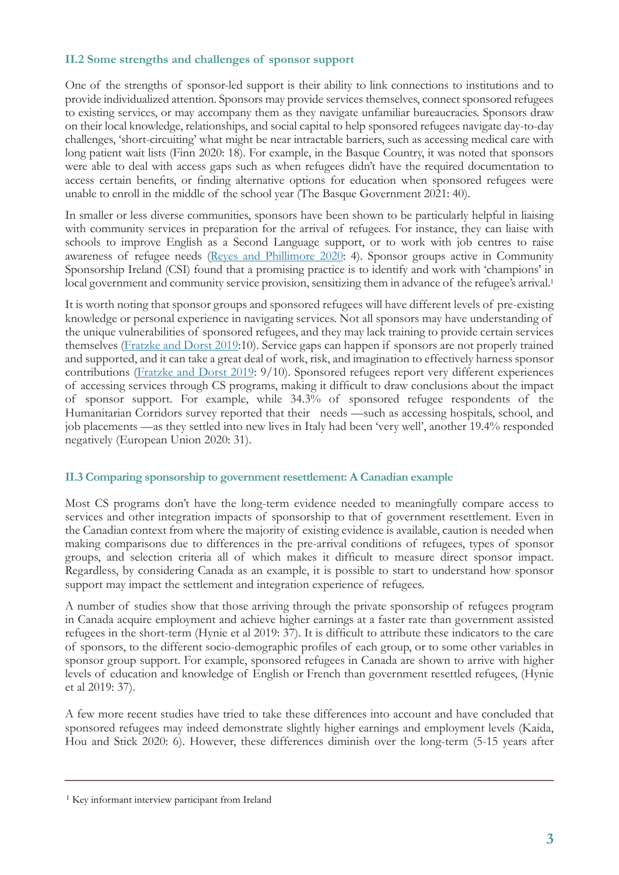## **II.2 Some strengths and challenges of sponsor support**

One of the strengths of sponsor-led support is their ability to link connections to institutions and to provide individualized attention. Sponsors may provide services themselves, connect sponsored refugees to existing services, or may accompany them as they navigate unfamiliar bureaucracies. Sponsors draw on their local knowledge, relationships, and social capital to help sponsored refugees navigate day-to-day challenges, 'short-circuiting' what might be near intractable barriers, such as accessing medical care with long patient wait lists (Finn 2020: 18). For example, in the Basque Country, it was noted that sponsors were able to deal with access gaps such as when refugees didn't have the required documentation to access certain benefits, or finding alternative options for education when sponsored refugees were unable to enroll in the middle of the school year (The Basque Government 2021: 40).

In smaller or less diverse communities, sponsors have been shown to be particularly helpful in liaising with community services in preparation for the arrival of refugees. For instance, they can liaise with schools to improve English as a Second Language support, or to work with job centres to raise awareness of refugee needs([Reyes and Phillimore 2020:](https://www.birmingham.ac.uk/Documents/college-social-sciences/social-policy/iris/2020/community-sponsorship-case-study-report.pdf) 4). Sponsor groups active in Community Sponsorship Ireland (CSI) found that a promising practice is to identify and work with 'champions' in local government and community service provision, sensitizing them in advance of the refugee's arrival.<sup>1</sup>

It is worth noting that sponsor groups and sponsored refugees will have different levels of pre-existing knowledge or personal experience in navigating services. Not all sponsors may have understanding of the unique vulnerabilities of sponsored refugees, and they may lack training to provide certain services themselves([Fratzke and Dorst 2019](https://www.volunteeringnz.org.nz/wp-content/uploads/TCM-Refugee-Integration-Volunteering-FINAL.pdf):10). Service gaps can happen if sponsors are not properly trained and supported, and it can take a great deal of work, risk, and imagination to effectively harness sponsor contributions [\(Fratzke and Dorst 2019](https://www.volunteeringnz.org.nz/wp-content/uploads/TCM-Refugee-Integration-Volunteering-FINAL.pdf): 9/10). Sponsored refugees report very different experiences of accessing services through CS programs, making it difficult to draw conclusions about the impact of sponsor support. For example, while 34.3% of sponsored refugee respondents of the Humanitarian Corridors survey reported that their needs —such as accessing hospitals, school, and job placements —as they settled into new lives in Italy had been 'very well', another 19.4% responded negatively (European Union 2020: 31).

#### **II.3 Comparing sponsorship to government resettlement: A Canadian example**

Most CS programs don't have the long-term evidence needed to meaningfully compare access to services and other integration impacts of sponsorship to that of government resettlement. Even in the Canadian context from where the majority of existing evidence is available, caution is needed when making comparisons due to differences in the pre-arrival conditions of refugees, types of sponsor groups, and selection criteria all of which makes it difficult to measure direct sponsor impact. Regardless, by considering Canada as an example, it is possible to start to understand how sponsor support may impact the settlement and integration experience of refugees.

A number of studies show that those arriving through the private sponsorship of refugees program in Canada acquire employment and achieve higher earnings at a faster rate than government assisted refugees in the short-term (Hynie et al 2019: 37). It is difficult to attribute these indicators to the care of sponsors, to the different socio-demographic profiles of each group, or to some other variables in sponsor group support. For example, sponsored refugees in Canada are shown to arrive with higher levels of education and knowledge of English or French than government resettled refugees, (Hynie et al 2019: 37).

A few more recent studies have tried to take these differences into account and have concluded that sponsored refugees may indeed demonstrate slightly higher earnings and employment levels (Kaida, Hou and Stick 2020: 6). However, these differences diminish over the long-term (5-15 years after

<sup>&</sup>lt;sup>1</sup> Key informant interview participant from Ireland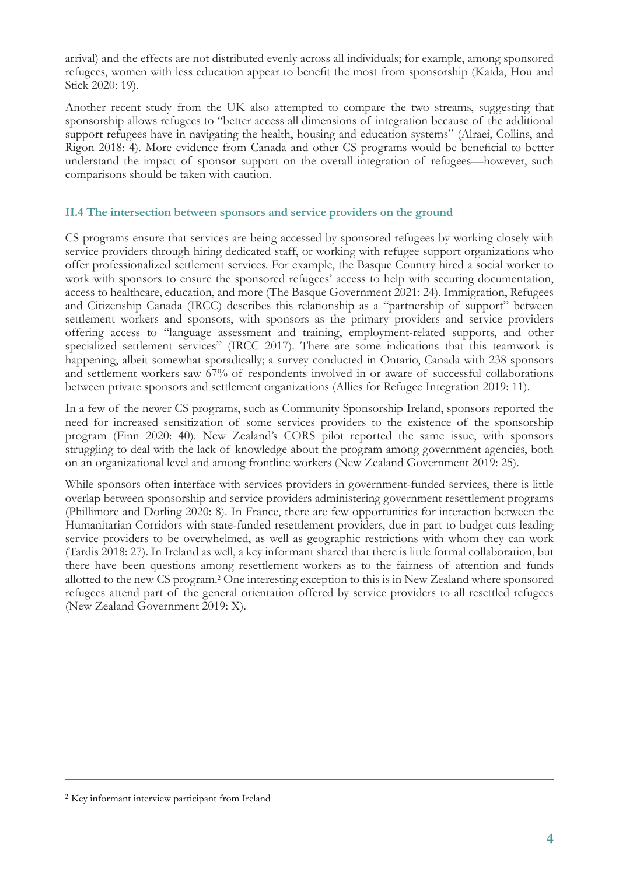arrival) and the effects are not distributed evenly across all individuals; for example, among sponsored refugees, women with less education appear to benefit the most from sponsorship (Kaida, Hou and Stick 2020: 19).

Another recent study from the UK also attempted to compare the two streams, suggesting that sponsorship allows refugees to "better access all dimensions of integration because of the additional support refugees have in navigating the health, housing and education systems" (Alraei, Collins, and Rigon 2018: 4). More evidence from Canada and other CS programs would be beneficial to better understand the impact of sponsor support on the overall integration of refugees—however, such comparisons should be taken with caution.

#### **II.4 The intersection between sponsors and service providers on the ground**

CS programs ensure that services are being accessed by sponsored refugees by working closely with service providers through hiring dedicated staff, or working with refugee support organizations who offer professionalized settlement services. For example, the Basque Country hired a social worker to work with sponsors to ensure the sponsored refugees' access to help with securing documentation, access to healthcare, education, and more (The Basque Government 2021: 24). Immigration, Refugees and Citizenship Canada (IRCC) describes this relationship as a "partnership of support" between settlement workers and sponsors, with sponsors as the primary providers and service providers offering access to "language assessment and training, employment-related supports, and other specialized settlement services" (IRCC 2017). There are some indications that this teamwork is happening, albeit somewhat sporadically; a survey conducted in Ontario, Canada with 238 sponsors and settlement workers saw 67% of respondents involved in or aware of successful collaborations between private sponsors and settlement organizations (Allies for Refugee Integration 2019: 11).

In a few of the newer CS programs, such as Community Sponsorship Ireland, sponsors reported the need for increased sensitization of some services providers to the existence of the sponsorship program (Finn 2020: 40). New Zealand's CORS pilot reported the same issue, with sponsors struggling to deal with the lack of knowledge about the program among government agencies, both on an organizational level and among frontline workers (New Zealand Government 2019: 25).

While sponsors often interface with services providers in government-funded services, there is little overlap between sponsorship and service providers administering government resettlement programs (Phillimore and Dorling 2020: 8). In France, there are few opportunities for interaction between the Humanitarian Corridors with state-funded resettlement providers, due in part to budget cuts leading service providers to be overwhelmed, as well as geographic restrictions with whom they can work (Tardis 2018: 27). In Ireland as well, a key informant shared that there is little formal collaboration, but there have been questions among resettlement workers as to the fairness of attention and funds allotted to the new CS program.<sup>2</sup> One interesting exception to this is in New Zealand where sponsored refugees attend part of the general orientation offered by service providers to all resettled refugees (New Zealand Government 2019: X).

<sup>2</sup> Key informant interview participant from Ireland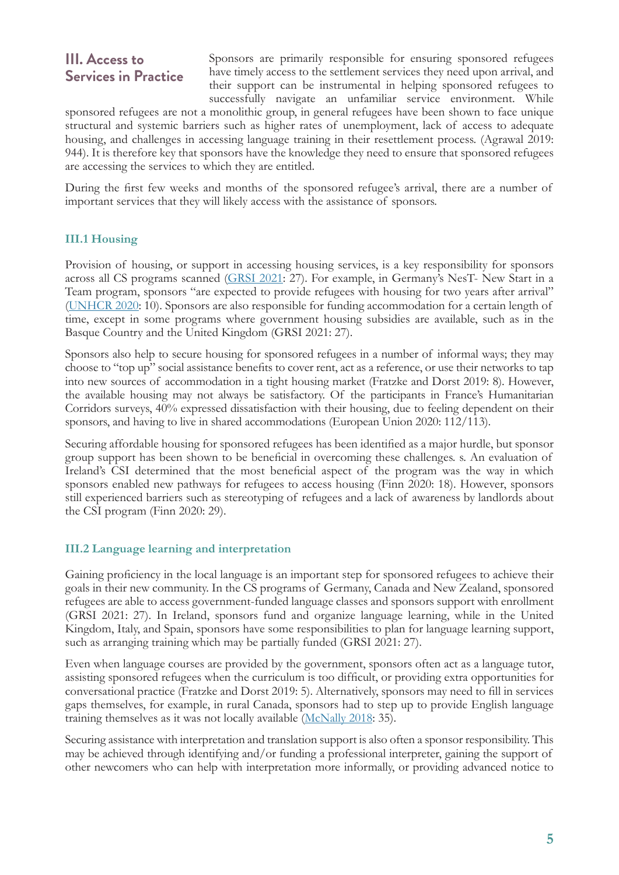# **III. Access to Services in Practice**

Sponsors are primarily responsible for ensuring sponsored refugees have timely access to the settlement services they need upon arrival, and their support can be instrumental in helping sponsored refugees to successfully navigate an unfamiliar service environment. While

sponsored refugees are not a monolithic group, in general refugees have been shown to face unique structural and systemic barriers such as higher rates of unemployment, lack of access to adequate housing, and challenges in accessing language training in their resettlement process. (Agrawal 2019: 944). It is therefore key that sponsors have the knowledge they need to ensure that sponsored refugees are accessing the services to which they are entitled.

During the first few weeks and months of the sponsored refugee's arrival, there are a number of important services that they will likely access with the assistance of sponsors.

## **III.1 Housing**

Provision of housing, or support in accessing housing services, is a key responsibility for sponsors across all CS programs scanned [\(GRSI 2021](https://refugeesponsorship.org/_uploads/60315288614ef.pdf): 27). For example, in Germany's NesT- New Start in a Team program, sponsors "are expected to provide refugees with housing for two years after arrival" [\(UNHCR 2020](https://www.unhcr.org/protection/resettlement/603e5d344/impact-government-sponsored-refugee-resettlement-meta-study-findings-six.html): 10). Sponsors are also responsible for funding accommodation for a certain length of time, except in some programs where government housing subsidies are available, such as in the Basque Country and the United Kingdom (GRSI 2021: 27).

Sponsors also help to secure housing for sponsored refugees in a number of informal ways; they may choose to "top up" social assistance benefits to cover rent, act as a reference, or use their networks to tap into new sources of accommodation in a tight housing market (Fratzke and Dorst 2019: 8). However, the available housing may not always be satisfactory. Of the participants in France's Humanitarian Corridors surveys, 40% expressed dissatisfaction with their housing, due to feeling dependent on their sponsors, and having to live in shared accommodations (European Union 2020: 112/113).

Securing affordable housing for sponsored refugees has been identified as a major hurdle, but sponsor group support has been shown to be beneficial in overcoming these challenges. s. An evaluation of Ireland's CSI determined that the most beneficial aspect of the program was the way in which sponsors enabled new pathways for refugees to access housing (Finn 2020: 18). However, sponsors still experienced barriers such as stereotyping of refugees and a lack of awareness by landlords about the CSI program (Finn 2020: 29).

## **III.2 Language learning and interpretation**

Gaining proficiency in the local language is an important step for sponsored refugees to achieve their goals in their new community. In the CS programs of Germany, Canada and New Zealand, sponsored refugees are able to access government-funded language classes and sponsors support with enrollment (GRSI 2021: 27). In Ireland, sponsors fund and organize language learning, while in the United Kingdom, Italy, and Spain, sponsors have some responsibilities to plan for language learning support, such as arranging training which may be partially funded (GRSI 2021: 27).

Even when language courses are provided by the government, sponsors often act as a language tutor, assisting sponsored refugees when the curriculum is too difficult, or providing extra opportunities for conversational practice (Fratzke and Dorst 2019: 5). Alternatively, sponsors may need to fill in services gaps themselves, for example, in rural Canada, sponsors had to step up to provide English language training themselves as it was not locally available [\(McNally 2018](https://scholar.acadiau.ca/islandora/object/theses:2643): 35).

Securing assistance with interpretation and translation support is also often a sponsor responsibility. This may be achieved through identifying and/or funding a professional interpreter, gaining the support of other newcomers who can help with interpretation more informally, or providing advanced notice to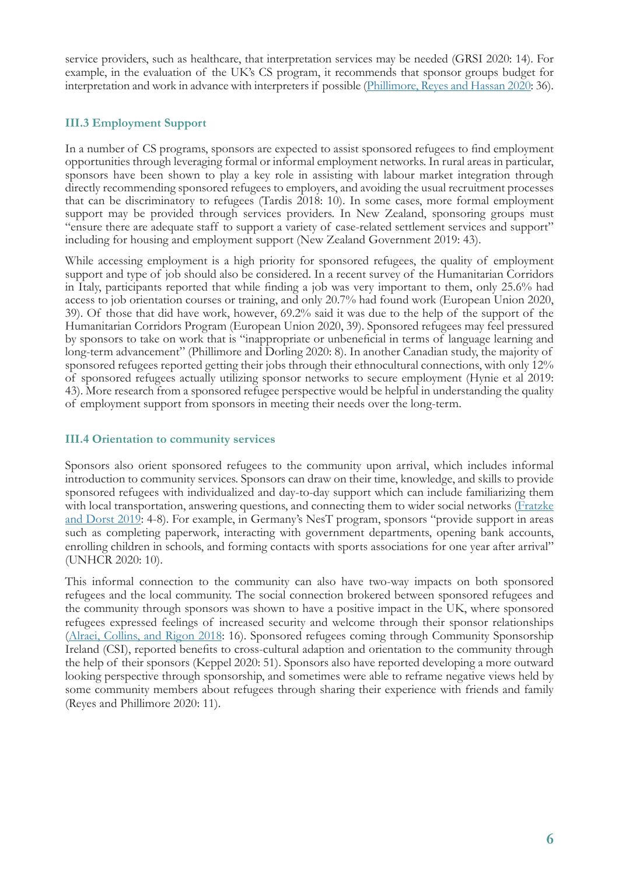service providers, such as healthcare, that interpretation services may be needed (GRSI 2020: 14). For example, in the evaluation of the UK's CS program, it recommends that sponsor groups budget for interpretation and work in advance with interpreters if possible([Phillimore, Reyes and Hassan 2020:](https://www.birmingham.ac.uk/documents/college-social-sciences/social-policy/iris/2020/community-sponsorship-general-report.pdf) 36).

## **III.3 Employment Support**

In a number of CS programs, sponsors are expected to assist sponsored refugees to find employment opportunities through leveraging formal or informal employment networks. In rural areas in particular, sponsors have been shown to play a key role in assisting with labour market integration through directly recommending sponsored refugees to employers, and avoiding the usual recruitment processes that can be discriminatory to refugees (Tardis 2018: 10). In some cases, more formal employment support may be provided through services providers. In New Zealand, sponsoring groups must "ensure there are adequate staff to support a variety of case-related settlement services and support" including for housing and employment support (New Zealand Government 2019: 43).

While accessing employment is a high priority for sponsored refugees, the quality of employment support and type of job should also be considered. In a recent survey of the Humanitarian Corridors in Italy, participants reported that while finding a job was very important to them, only 25.6% had access to job orientation courses or training, and only 20.7% had found work (European Union 2020, 39). Of those that did have work, however, 69.2% said it was due to the help of the support of the Humanitarian Corridors Program (European Union 2020, 39). Sponsored refugees may feel pressured by sponsors to take on work that is "inappropriate or unbeneficial in terms of language learning and long-term advancement" (Phillimore and Dorling 2020: 8). In another Canadian study, the majority of sponsored refugees reported getting their jobs through their ethnocultural connections, with only 12% of sponsored refugees actually utilizing sponsor networks to secure employment (Hynie et al 2019: 43). More research from a sponsored refugee perspective would be helpful in understanding the quality of employment support from sponsors in meeting their needs over the long-term.

## **III.4 Orientation to community services**

Sponsors also orient sponsored refugees to the community upon arrival, which includes informal introduction to community services. Sponsors can draw on their time, knowledge, and skills to provide sponsored refugees with individualized and day-to-day support which can include familiarizing them with local transportation, answering questions, and connecting them to wider social networks [\(Fratzke](https://www.volunteeringnz.org.nz/wp-content/uploads/TCM-Refugee-Integration-Volunteering-FINAL.pdf)) [and Dorst 2019:](https://www.volunteeringnz.org.nz/wp-content/uploads/TCM-Refugee-Integration-Volunteering-FINAL.pdf) 4-8). For example, in Germany's NesT program, sponsors "provide support in areas such as completing paperwork, interacting with government departments, opening bank accounts, enrolling children in schools, and forming contacts with sports associations for one year after arrival" (UNHCR 2020: 10).

This informal connection to the community can also have two-way impacts on both sponsored refugees and the local community. The social connection brokered between sponsored refugees and the community through sponsors was shown to have a positive impact in the UK, where sponsored refugees expressed feelings of increased security and welcome through their sponsor relationships [\(Alraei, Collins, and Rigon 2018](https://www.ucl.ac.uk/bartlett/development/sites/bartlett/files/comparisonukresettlement_schemes_fullreport.pdf): 16). Sponsored refugees coming through Community Sponsorship Ireland (CSI), reported benefits to cross-cultural adaption and orientation to the community through the help of their sponsors (Keppel 2020: 51). Sponsors also have reported developing a more outward looking perspective through sponsorship, and sometimes were able to reframe negative views held by some community members about refugees through sharing their experience with friends and family (Reyes and Phillimore 2020: 11).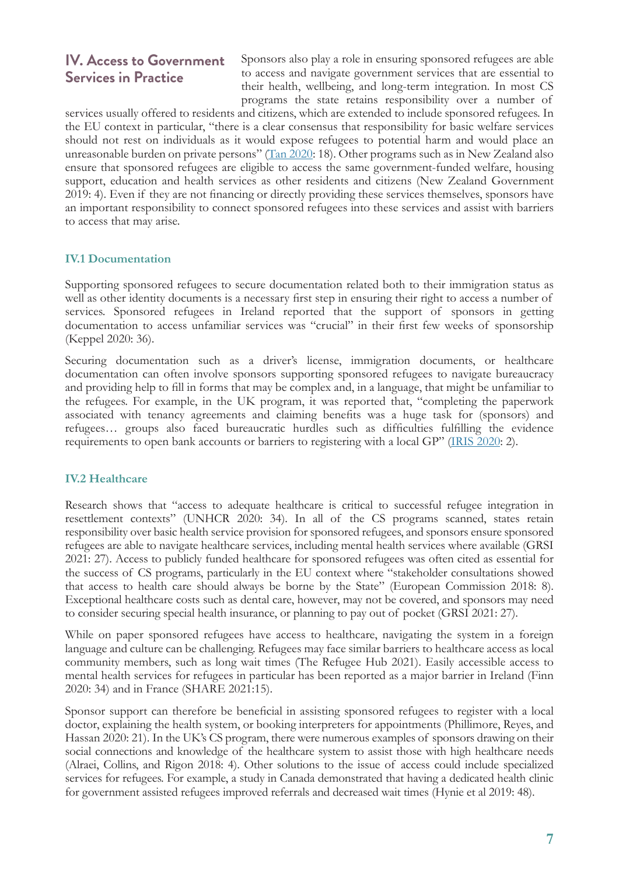# **IV. Access to Government Services in Practice**

Sponsors also play a role in ensuring sponsored refugees are able to access and navigate government services that are essential to their health, wellbeing, and long-term integration. In most CS programs the state retains responsibility over a number of

services usually offered to residents and citizens, which are extended to include sponsored refugees. In the EU context in particular, "there is a clear consensus that responsibility for basic welfare services should not rest on individuals as it would expose refugees to potential harm and would place an unreasonable burden on private persons" [\(Tan 2020:](https://www.unhcr.org/neu/wp-content/uploads/sites/15/2020/12/UNHCR-Study-on-Community-Sponsorship-Program-in-Sweden.pdf) 18). Other programs such as in New Zealand also ensure that sponsored refugees are eligible to access the same government-funded welfare, housing support, education and health services as other residents and citizens (New Zealand Government 2019: 4). Even if they are not financing or directly providing these services themselves, sponsors have an important responsibility to connect sponsored refugees into these services and assist with barriers to access that may arise.

## **IV.1 Documentation**

Supporting sponsored refugees to secure documentation related both to their immigration status as well as other identity documents is a necessary first step in ensuring their right to access a number of services. Sponsored refugees in Ireland reported that the support of sponsors in getting documentation to access unfamiliar services was "crucial" in their first few weeks of sponsorship (Keppel 2020: 36).

Securing documentation such as a driver's license, immigration documents, or healthcare documentation can often involve sponsors supporting sponsored refugees to navigate bureaucracy and providing help to fill in forms that may be complex and, in a language, that might be unfamiliar to the refugees. For example, in the UK program, it was reported that, "completing the paperwork associated with tenancy agreements and claiming benefits was a huge task for (sponsors) and refugees… groups also faced bureaucratic hurdles such as difficulties fulfilling the evidence requirements to open bank accounts or barriers to registering with a local GP" [\(IRIS 2020](https://www.birmingham.ac.uk/Documents/college-social-sciences/social-policy/iris/2020/2-improving-the-process-policy.pdf): 2).

#### **IV.2 Healthcare**

Research shows that "access to adequate healthcare is critical to successful refugee integration in resettlement contexts" (UNHCR 2020: 34). In all of the CS programs scanned, states retain responsibility over basic health service provision for sponsored refugees, and sponsors ensure sponsored refugees are able to navigate healthcare services, including mental health services where available (GRSI 2021: 27). Access to publicly funded healthcare for sponsored refugees was often cited as essential for the success of CS programs, particularly in the EU context where "stakeholder consultations showed that access to health care should always be borne by the State" (European Commission 2018: 8). Exceptional healthcare costs such as dental care, however, may not be covered, and sponsors may need to consider securing special health insurance, or planning to pay out of pocket (GRSI 2021: 27).

While on paper sponsored refugees have access to healthcare, navigating the system in a foreign language and culture can be challenging. Refugees may face similar barriers to healthcare access as local community members, such as long wait times (The Refugee Hub 2021). Easily accessible access to mental health services for refugees in particular has been reported as a major barrier in Ireland (Finn 2020: 34) and in France (SHARE 2021:15).

Sponsor support can therefore be beneficial in assisting sponsored refugees to register with a local doctor, explaining the health system, or booking interpreters for appointments (Phillimore, Reyes, and Hassan 2020: 21). In the UK's CS program, there were numerous examples of sponsors drawing on their social connections and knowledge of the healthcare system to assist those with high healthcare needs (Alraei, Collins, and Rigon 2018: 4). Other solutions to the issue of access could include specialized services for refugees. For example, a study in Canada demonstrated that having a dedicated health clinic for government assisted refugees improved referrals and decreased wait times (Hynie et al 2019: 48).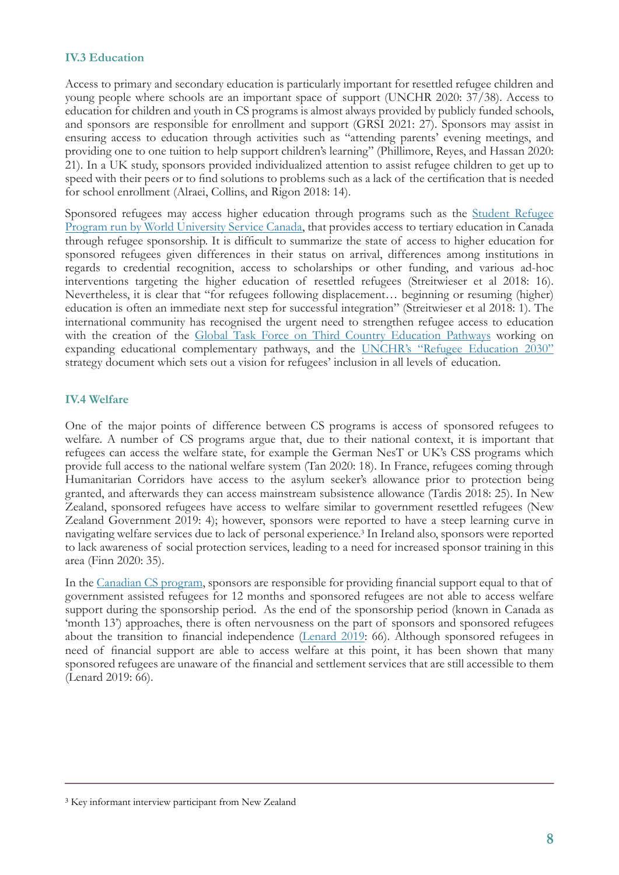#### **IV.3 Education**

Access to primary and secondary education is particularly important for resettled refugee children and young people where schools are an important space of support (UNCHR 2020: 37/38). Access to education for children and youth in CS programs is almost always provided by publicly funded schools, and sponsors are responsible for enrollment and support (GRSI 2021: 27). Sponsors may assist in ensuring access to education through activities such as "attending parents' evening meetings, and providing one to one tuition to help support children's learning" (Phillimore, Reyes, and Hassan 2020: 21). In a UK study, sponsors provided individualized attention to assist refugee children to get up to speed with their peers or to find solutions to problems such as a lack of the certification that is needed for school enrollment (Alraei, Collins, and Rigon 2018: 14).

Sponsored refugees may access higher education through programs such as the [Student Refugee](https://srp.wusc.ca/) [Program run by World University Service Canada,](https://srp.wusc.ca/) that provides access to tertiary education in Canada through refugee sponsorship. It is difficult to summarize the state of access to higher education for sponsored refugees given differences in their status on arrival, differences among institutions in regards to credential recognition, access to scholarships or other funding, and various ad-hoc interventions targeting the higher education of resettled refugees (Streitwieser et al 2018: 16). Nevertheless, it is clear that "for refugees following displacement… beginning or resuming (higher) education is often an immediate next step for successful integration" (Streitwieser et al 2018: 1). The international community has recognised the urgent need to strengthen refugee access to education with the creation of the [Global Task Force on Third Country Education Pathways](https://wusc.ca/wp-content/uploads/2021/06/Global-Task-Force-on-Third-Country-Education-Pathways.pdf) working on expanding educational complementary pathways, and the [UNCHR's "Refugee Education 2030"](https://www.canada.ca/en/immigration-refugees-citizenship/services/refugees/help-outside-canada/private-sponsorship-program/agreement-holders/training-program.html) strategy document which sets out a vision for refugees' inclusion in all levels of education.

### **IV.4 Welfare**

One of the major points of difference between CS programs is access of sponsored refugees to welfare. A number of CS programs argue that, due to their national context, it is important that refugees can access the welfare state, for example the German NesT or UK's CSS programs which provide full access to the national welfare system (Tan 2020: 18). In France, refugees coming through Humanitarian Corridors have access to the asylum seeker's allowance prior to protection being granted, and afterwards they can access mainstream subsistence allowance (Tardis 2018: 25). In New Zealand, sponsored refugees have access to welfare similar to government resettled refugees (New Zealand Government 2019: 4); however, sponsors were reported to have a steep learning curve in navigating welfare services due to lack of personal experience.<sup>3</sup> In Ireland also, sponsors were reported to lack awareness of social protection services, leading to a need for increased sponsor training in this area (Finn 2020: 35).

In the [Canadian CS program,](https://www.canada.ca/en/immigration-refugees-citizenship/corporate/publications-manuals/guide-private-sponsorship-refugees-program/section-2.html) sponsors are responsible for providing financial support equal to that of government assisted refugees for 12 months and sponsored refugees are not able to access welfare support during the sponsorship period. As the end of the sponsorship period (known in Canada as 'month 13') approaches, there is often nervousness on the part of sponsors and sponsored refugees about the transition to financial independence([Lenard 2019:](https://refuge.journals.yorku.ca/index.php/refuge/article/view/40591/36557) 66). Although sponsored refugees in need of financial support are able to access welfare at this point, it has been shown that many sponsored refugees are unaware of the financial and settlement services that are still accessible to them (Lenard 2019: 66).

<sup>&</sup>lt;sup>3</sup> Key informant interview participant from New Zealand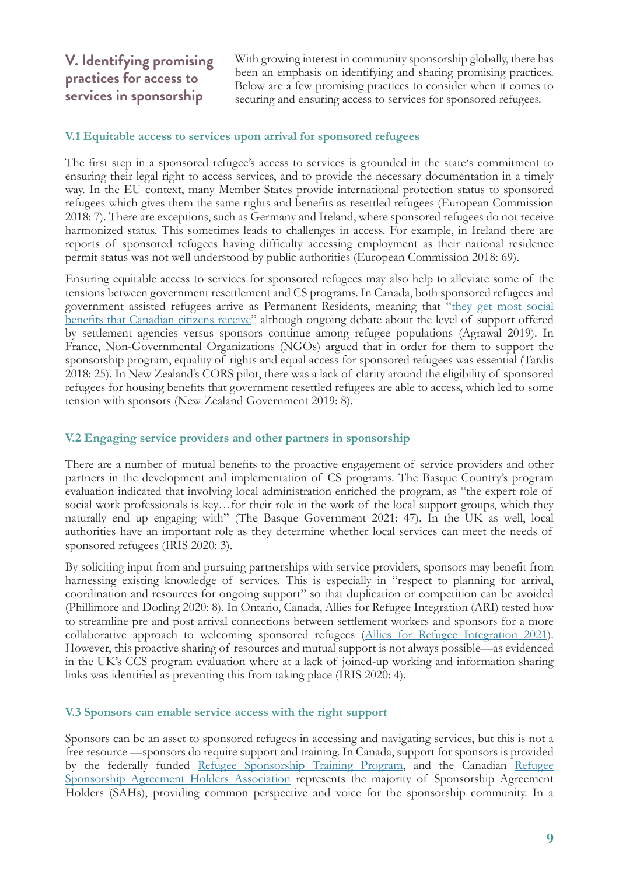# **V. Identifying promising practices for access to services in sponsorship**

With growing interest in community sponsorship globally, there has been an emphasis on identifying and sharing promising practices. Below are a few promising practices to consider when it comes to securing and ensuring access to services for sponsored refugees.

#### **V.1 Equitable access to services upon arrival for sponsored refugees**

The first step in a sponsored refugee's access to services is grounded in the state's commitment to ensuring their legal right to access services, and to provide the necessary documentation in a timely way. In the EU context, many Member States provide international protection status to sponsored refugees which gives them the same rights and benefits as resettled refugees (European Commission 2018: 7). There are exceptions, such as Germany and Ireland, where sponsored refugees do not receive harmonized status. This sometimes leads to challenges in access. For example, in Ireland there are reports of sponsored refugees having difficulty accessing employment as their national residence permit status was not well understood by public authorities (European Commission 2018: 69).

Ensuring equitable access to services for sponsored refugees may also help to alleviate some of the tensions between government resettlement and CS programs. In Canada, both sponsored refugees and government assisted refugees arrive as Permanent Residents, meaning that ["they get most social](https://www.canada.ca/en/immigration-refugees-citizenship/services/new-immigrants/pr-card/understand-pr-status.html) [benefits that Canadian citizens receive](https://www.canada.ca/en/immigration-refugees-citizenship/services/new-immigrants/pr-card/understand-pr-status.html)" although ongoing debate about the level of support offered by settlement agencies versus sponsors continue among refugee populations (Agrawal 2019). In France, Non-Governmental Organizations (NGOs) argued that in order for them to support the sponsorship program, equality of rights and equal access for sponsored refugees was essential (Tardis 2018: 25). In New Zealand's CORS pilot, there was a lack of clarity around the eligibility of sponsored refugees for housing benefits that government resettled refugees are able to access, which led to some tension with sponsors (New Zealand Government 2019: 8).

#### **V.2 Engaging service providers and other partners in sponsorship**

There are a number of mutual benefits to the proactive engagement of service providers and other partners in the development and implementation of CS programs. The Basque Country's program evaluation indicated that involving local administration enriched the program, as "the expert role of social work professionals is key…for their role in the work of the local support groups, which they naturally end up engaging with" (The Basque Government 2021: 47). In the UK as well, local authorities have an important role as they determine whether local services can meet the needs of sponsored refugees (IRIS 2020: 3).

By soliciting input from and pursuing partnerships with service providers, sponsors may benefit from harnessing existing knowledge of services. This is especially in "respect to planning for arrival, coordination and resources for ongoing support" so that duplication or competition can be avoided (Phillimore and Dorling 2020: 8). In Ontario, Canada, Allies for Refugee Integration (ARI) tested how to streamline pre and post arrival connections between settlement workers and sponsors for a more collaborative approach to welcoming sponsored refugees([Allies for Refugee Integration 2021\)](https://ocasi.org/sites/default/files/ari-final-report-2021-intentional-connections_0.pdf). However, this proactive sharing of resources and mutual support is not always possible—as evidenced in the UK's CCS program evaluation where at a lack of joined-up working and information sharing links was identified as preventing this from taking place (IRIS 2020: 4).

#### **V.3 Sponsors can enable service access with the right support**

Sponsors can be an asset to sponsored refugees in accessing and navigating services, but this is not a free resource —sponsors do require support and training. In Canada, support for sponsors is provided by the federally funded [Refugee Sponsorship Training Program,](https://www.canada.ca/en/immigration-refugees-citizenship/services/refugees/help-outside-canada/private-sponsorship-program/agreement-holders/training-program.html) and the Canadian [Refugee](https://www.sahassociation.com/) [Sponsorship Agreement Holders Association](https://www.sahassociation.com/) represents the majority of Sponsorship Agreement Holders (SAHs), providing common perspective and voice for the sponsorship community. In a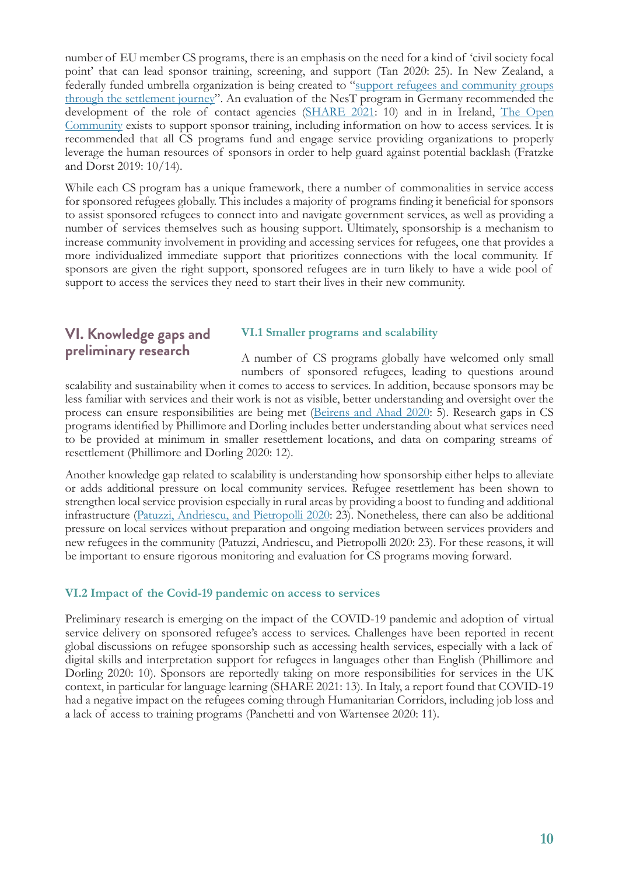number of EU member CS programs, there is an emphasis on the need for a kind of 'civil society focal point' that can lead sponsor training, screening, and support (Tan 2020: 25). In New Zealand, a federally funded umbrella organization is being created to"[support refugees and community groups](https://www.immigration.govt.nz/assist-migrants-and-students/assist-refugees/refugee-sponsorship/about-the-cors-category) [through the settlement journey"](https://www.immigration.govt.nz/assist-migrants-and-students/assist-refugees/refugee-sponsorship/about-the-cors-category). An evaluation of the NesT program in Germany recommended the developmentof the role of contact agencies ([SHARE 2021](http://www.resettlement.eu/sites/icmc/files/SHARE%20QSN%20Roundtable%20Report_Evaluation%20of%20Refugee%20Sponsorship%20Programmes_Final.pdf): 10) and in in Ireland, [The Open](https://theopencommunity.ie/) [Community](https://theopencommunity.ie/) exists to support sponsor training, including information on how to access services. It is recommended that all CS programs fund and engage service providing organizations to properly leverage the human resources of sponsors in order to help guard against potential backlash (Fratzke and Dorst 2019: 10/14).

While each CS program has a unique framework, there a number of commonalities in service access for sponsored refugees globally. This includes a majority of programs finding it beneficial for sponsors to assist sponsored refugees to connect into and navigate government services, as well as providing a number of services themselves such as housing support. Ultimately, sponsorship is a mechanism to increase community involvement in providing and accessing services for refugees, one that provides a more individualized immediate support that prioritizes connections with the local community. If sponsors are given the right support, sponsored refugees are in turn likely to have a wide pool of support to access the services they need to start their lives in their new community.

# **VI. Knowledge gaps and preliminary research**

#### **VI.1 Smaller programs and scalability**

A number of CS programs globally have welcomed only small numbers of sponsored refugees, leading to questions around scalability and sustainability when it comes to access to services. In addition, because sponsors may be less familiar with services and their work is not as visible, better understanding and oversight over the process can ensure responsibilities are being met([Beirens and Ahad 2020](https://www.migrationpolicy.org/sites/default/files/publications/MPIE-Sponsorship-Monitoring-Evaluation-FINAL.pdf): 5). Research gaps in CS programs identified by Phillimore and Dorling includes better understanding about what services need to be provided at minimum in smaller resettlement locations, and data on comparing streams of resettlement (Phillimore and Dorling 2020: 12).

Another knowledge gap related to scalability is understanding how sponsorship either helps to alleviate or adds additional pressure on local community services. Refugee resettlement has been shown to strengthen local service provision especially in rural areas by providing a boost to funding and additional infrastructure([Patuzzi, Andriescu, and Pietropolli 2020](https://www.migrationpolicy.org/sites/default/files/publications/mpi-europe-rural-refugee-resettlement_final.pdf): 23). Nonetheless, there can also be additional pressure on local services without preparation and ongoing mediation between services providers and new refugees in the community (Patuzzi, Andriescu, and Pietropolli 2020: 23). For these reasons, it will be important to ensure rigorous monitoring and evaluation for CS programs moving forward.

## **VI.2 Impact of the Covid-19 pandemic on access to services**

Preliminary research is emerging on the impact of the COVID-19 pandemic and adoption of virtual service delivery on sponsored refugee's access to services. Challenges have been reported in recent global discussions on refugee sponsorship such as accessing health services, especially with a lack of digital skills and interpretation support for refugees in languages other than English (Phillimore and Dorling 2020: 10). Sponsors are reportedly taking on more responsibilities for services in the UK context, in particular for language learning (SHARE 2021: 13). In Italy, a report found that COVID-19 had a negative impact on the refugees coming through Humanitarian Corridors, including job loss and a lack of access to training programs (Panchetti and von Wartensee 2020: 11).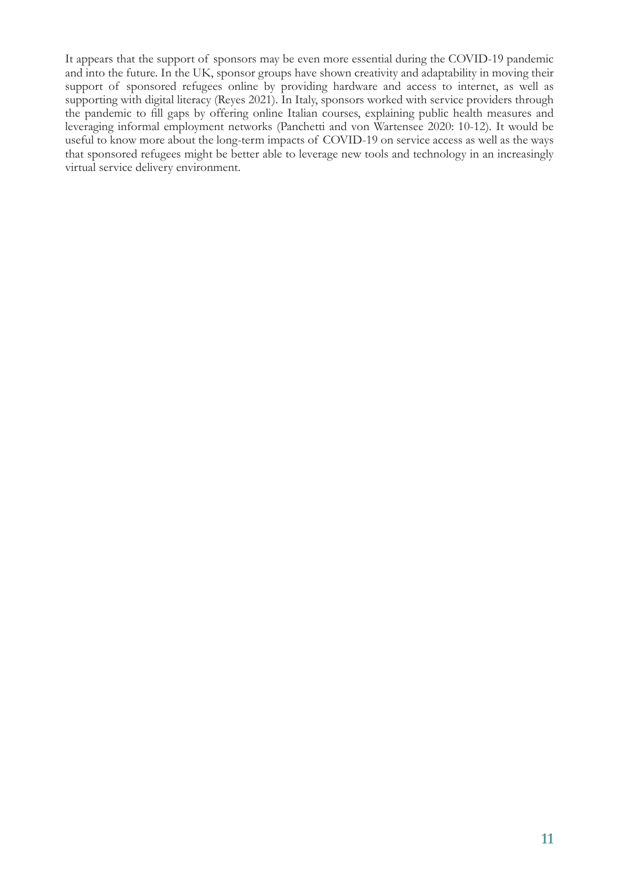It appears that the support of sponsors may be even more essential during the COVID-19 pandemic and into the future. In the UK, sponsor groups have shown creativity and adaptability in moving their support of sponsored refugees online by providing hardware and access to internet, as well as supporting with digital literacy (Reyes 2021). In Italy, sponsors worked with service providers through the pandemic to fill gaps by offering online Italian courses, explaining public health measures and leveraging informal employment networks (Panchetti and von Wartensee 2020: 10-12). It would be useful to know more about the long-term impacts of COVID-19 on service access as well as the ways that sponsored refugees might be better able to leverage new tools and technology in an increasingly virtual service delivery environment.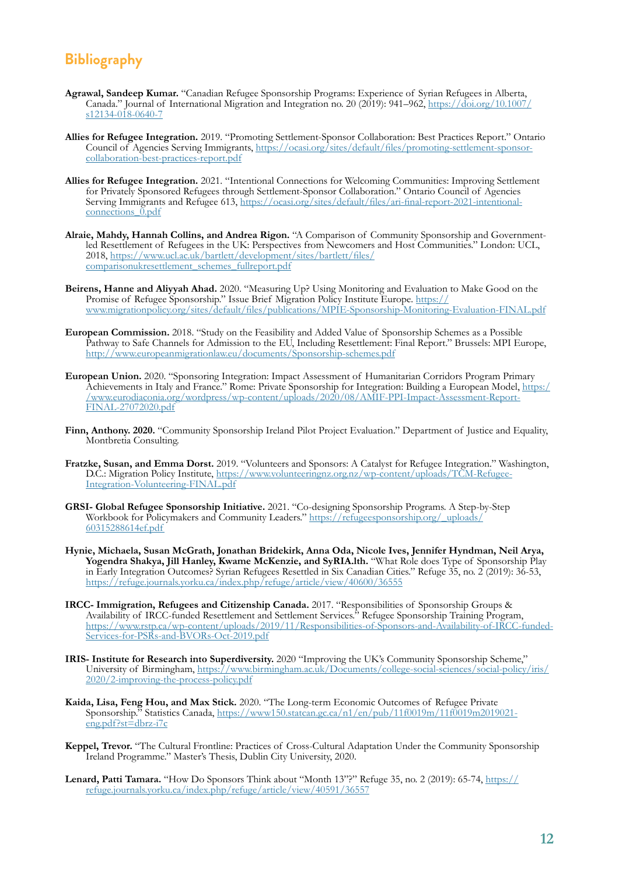# **Bibliography**

- **Agrawal, Sandeep Kumar.** "Canadian Refugee Sponsorship Programs: Experience of Syrian Refugees in Alberta, Canada." Journal of International Migration and Integration no. 20 (2019): 941–962, [https://doi.org/10.1007/](https://doi.org/10.1007/s12134-018-0640-7) [s12134-018-0640-7](https://doi.org/10.1007/s12134-018-0640-7)
- **Allies for Refugee Integration.** 2019. "Promoting Settlement-Sponsor Collaboration: Best Practices Report." Ontario Council of Agencies Serving Immigrants, [https://ocasi.org/sites/default/files/promoting-settlement-sponsor](https://ocasi.org/sites/default/files/promoting-settlement-sponsor-collaboration-best-practices-report.pdf)[collaboration-best-practices-report.pdf](https://ocasi.org/sites/default/files/promoting-settlement-sponsor-collaboration-best-practices-report.pdf)
- **Allies for Refugee Integration.** 2021. "Intentional Connections for Welcoming Communities: Improving Settlement for Privately Sponsored Refugees through Settlement-Sponsor Collaboration." Ontario Council of Agencies Serving Immigrants and Refugee 613, [https://ocasi.org/sites/default/files/ari-final-report-2021-intentional](https://ocasi.org/sites/default/files/ari-final-report-2021-intentional-connections_0.pdf)connections $\overline{0}$ .pdf
- **Alraie, Mahdy, Hannah Collins, and Andrea Rigon.** "A Comparison of Community Sponsorship and Governmentled Resettlement of Refugees in the UK: Perspectives from Newcomers and Host Communities." London: UCL, 2018, [https://www.ucl.ac.uk/bartlett/development/sites/bartlett/files/](https://www.ucl.ac.uk/bartlett/development/sites/bartlett/files/comparisonukresettlement_schemes_fullreport.pdf) [comparisonukresettlement\\_schemes\\_fullreport.pdf](https://www.ucl.ac.uk/bartlett/development/sites/bartlett/files/comparisonukresettlement_schemes_fullreport.pdf)
- **Beirens, Hanne and Aliyyah Ahad.** 2020. "Measuring Up? Using Monitoring and Evaluation to Make Good on the Promise of Refugee Sponsorship." Issue Brief Migration Policy Institute Europe. [https://](https://www.migrationpolicy.org/sites/default/files/publications/MPIE-Sponsorship-Monitoring-Evaluation-FINAL.pdf) [www.migrationpolicy.org/sites/default/files/publications/MPIE-Sponsorship-Monitoring-Evaluation-FINAL.pdf](https://www.migrationpolicy.org/sites/default/files/publications/MPIE-Sponsorship-Monitoring-Evaluation-FINAL.pdf)
- **European Commission.** 2018. "Study on the Feasibility and Added Value of Sponsorship Schemes as a Possible Pathway to Safe Channels for Admission to the EU, Including Resettlement: Final Report." Brussels: MPI Europe, <http://www.europeanmigrationlaw.eu/documents/Sponsorship-schemes.pdf>
- **European Union.** 2020. "Sponsoring Integration: Impact Assessment of Humanitarian Corridors Program Primary Achievements in Italy and France." Rome: Private Sponsorship for Integration: Building a European Model, [https:/](https://www.eurodiaconia.org/wordpress/wp-content/uploads/2020/08/AMIF-PPI-Impact-Assessment-Report-FINAL-27072020.pdf) [/www.eurodiaconia.org/wordpress/wp-content/uploads/2020/08/AMIF-PPI-Impact-Assessment-Report-](https://www.eurodiaconia.org/wordpress/wp-content/uploads/2020/08/AMIF-PPI-Impact-Assessment-Report-FINAL-27072020.pdf)[FINAL-27072020.pdf](https://www.eurodiaconia.org/wordpress/wp-content/uploads/2020/08/AMIF-PPI-Impact-Assessment-Report-FINAL-27072020.pdf)
- **Finn, Anthony. 2020.** "Community Sponsorship Ireland Pilot Project Evaluation." Department of Justice and Equality, Montbretia Consulting.
- **Fratzke, Susan, and Emma Dorst.** 2019. "Volunteers and Sponsors: A Catalyst for Refugee Integration." Washington, D.C.: Migration Policy Institute, [https://www.volunteeringnz.org.nz/wp-content/uploads/TCM-Refugee-](https://www.volunteeringnz.org.nz/wp-content/uploads/TCM-Refugee-Integration-Volunteering-FINAL.pdf)[Integration-Volunteering-FINAL.pdf](https://www.volunteeringnz.org.nz/wp-content/uploads/TCM-Refugee-Integration-Volunteering-FINAL.pdf)
- **GRSI- Global Refugee Sponsorship Initiative.** 2021. "Co-designing Sponsorship Programs. A Step-by-Step Workbook for Policymakers and Community Leaders." [https://refugeesponsorship.org/\\_uploads/](https://refugeesponsorship.org/_uploads/60315288614ef.pdf) [60315288614ef.pdf](https://refugeesponsorship.org/_uploads/60315288614ef.pdf)
- **Hynie, Michaela, Susan McGrath, Jonathan Bridekirk, Anna Oda, Nicole Ives, Jennifer Hyndman, Neil Arya, Yogendra Shakya, Jill Hanley, Kwame McKenzie, and SyRIA.lth.** "What Role does Type of Sponsorship Play in Early Integration Outcomes? Syrian Refugees Resettled in Six Canadian Cities." Refuge 35, no. 2 (2019): 36-53, <https://refuge.journals.yorku.ca/index.php/refuge/article/view/40600/36555>
- **IRCC- Immigration, Refugees and Citizenship Canada.** 2017. "Responsibilities of Sponsorship Groups & Availability of IRCC-funded Resettlement and Settlement Services." Refugee Sponsorship Training Program, [https://www.rstp.ca/wp-content/uploads/2019/11/Responsibilities-of-Sponsors-and-Availability-of-IRCC-funded-](https://www.rstp.ca/wp-content/uploads/2019/11/Responsibilities-of-Sponsors-and-Availability-of-IRCC-funded-Services-for-PSRs-and-BVORs-Oct-2019.pdf)[Services-for-PSRs-and-BVORs-Oct-2019.pdf](https://www.rstp.ca/wp-content/uploads/2019/11/Responsibilities-of-Sponsors-and-Availability-of-IRCC-funded-Services-for-PSRs-and-BVORs-Oct-2019.pdf)
- **IRIS- Institute for Research into Superdiversity.** 2020 "Improving the UK's Community Sponsorship Scheme," University of Birmingham, [https://www.birmingham.ac.uk/Documents/college-social-sciences/social-policy/iris/](https://www.birmingham.ac.uk/Documents/college-social-sciences/social-policy/iris/2020/2-improving-the-process-policy.pdf) [2020/2-improving-the-process-policy.pdf](https://www.birmingham.ac.uk/Documents/college-social-sciences/social-policy/iris/2020/2-improving-the-process-policy.pdf)
- **Kaida, Lisa, Feng Hou, and Max Stick.** 2020. "The Long-term Economic Outcomes of Refugee Private Sponsorship." Statistics Canada, [https://www150.statcan.gc.ca/n1/en/pub/11f0019m/11f0019m2019021](https://www150.statcan.gc.ca/n1/en/pub/11f0019m/11f0019m2019021-eng.pdf?st=dbrz-i7c) eng.pdf?st=dbrz-i7c
- **Keppel, Trevor.** "The Cultural Frontline: Practices of Cross-Cultural Adaptation Under the Community Sponsorship Ireland Programme." Master's Thesis, Dublin City University, 2020.
- **Lenard, Patti Tamara.** "How Do Sponsors Think about "Month 13"?" Refuge 35, no. 2 (2019): 65-74, [https://](https://refuge.journals.yorku.ca/index.php/refuge/article/view/40591/36557) [refuge.journals.yorku.ca/index.php/refuge/article/view/40591/36557](https://refuge.journals.yorku.ca/index.php/refuge/article/view/40591/36557)